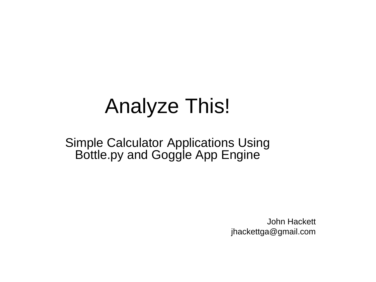# Analyze This!

#### Simple Calculator Applications Using Bottle.py and Goggle App Engine

John Hackett jhackettga@gmail.com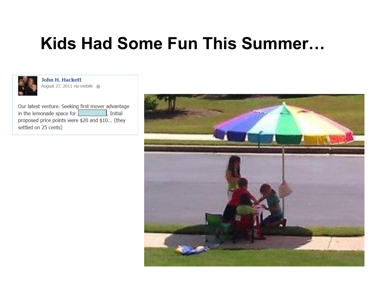## **Kids Had Some Fun This Summer…**



**John H. Hackett** August 27, 2011 via mobile

Our latest venture. Seeking first mover advantage . Initial in the lemonade space for . proposed price points were \$20 and \$10... (they settled on 25 cents)

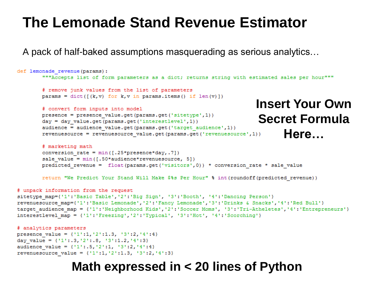### **The Lemonade Stand Revenue Estimator**

A pack of half-baked assumptions masquerading as serious analytics…

```
def lemonade revenue (params) :
        """Accepts list of form parameters as a dict; returns string with estimated sales per hour"""
        # remove junk values from the list of parameters
       params = dict([ (k, v) for k, v in params.items() if len(v)])Insert Your Own
        # convert form inputs into model
       presence = presence value.get(params.get('sitetype',1))
                                                                            Secret Formula
        day = day value.get(params.get('interestlevel',1))
        audience = audience value.get(params.get('target audience',1))
                                                                                    Here…revenuesource = revenuesource_value.get(params.get('revenuesource',1))
        # marketing math
        conversion rate = min([.25*pregence*day, .7])sale value = min([.50*audience*revenuesource, 5])predicted revenue = float (params.get ('visitors',0)) * conversion rate * sale value
        return "We Predict Your Stand Will Make $%s Per Hour" % int (roundoff (predicted revenue))
# unpack information from the request
sitetype map={'1':'Basic Table','2':'Big Sign', '3':'Booth', '4':'Dancing Person'}
revenuesource map={'1':'Basic Lemonade','2':'Fancy Lemonade','3':'Drinks & Snacks','4':'Red Bull'}
target audience map = {'1':'Neighborhood Kids','2':'Soccer Moms', '3':'Tri-Atheletes','4':'Entrepreneurs'}
interestlevel map = {'1':'Freezing','2':'Typical', '3':'Hot', '4':'Scorching'}
# analytics parameters
presence value = \{ '1'; 1, '2'; 1.3, '3'; 2, '4'; 4 \}day value = {1: .3, '2': .8, '3':1.2, '4':3}
```

```
audience_value = {11:5, 12:1, 13:2, 14:4}revenuesource value = {11:1, 12:1.3, 13:2, 14:3}
```
#### **Math expressed in < 20 lines of Python**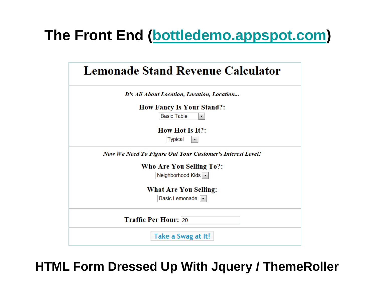### **The Front End [\(bottledemo.appspot.com](http://bottledemo.appspot.com/))**

| Lemonade Stand Revenue Calculator                                |  |  |  |  |  |  |
|------------------------------------------------------------------|--|--|--|--|--|--|
| It's All About Location, Location, Location                      |  |  |  |  |  |  |
| <b>How Fancy Is Your Stand?:</b>                                 |  |  |  |  |  |  |
| <b>Basic Table</b><br>$\overline{\phantom{a}}$                   |  |  |  |  |  |  |
| <b>How Hot Is It?:</b><br><b>Typical</b><br>▼                    |  |  |  |  |  |  |
| <b>Now We Need To Figure Out Your Customer's Interest Level!</b> |  |  |  |  |  |  |
| Who Are You Selling To?:                                         |  |  |  |  |  |  |
| Neighborhood Kids   ▼                                            |  |  |  |  |  |  |
| <b>What Are You Selling:</b><br>Basic Lemonade                   |  |  |  |  |  |  |
| <b>Traffic Per Hour: 20</b>                                      |  |  |  |  |  |  |
| Take a Swag at It!                                               |  |  |  |  |  |  |

**HTML Form Dressed Up With Jquery / ThemeRoller**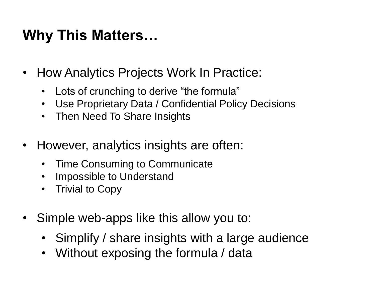## **Why This Matters…**

- How Analytics Projects Work In Practice:
	- Lots of crunching to derive "the formula"
	- Use Proprietary Data / Confidential Policy Decisions
	- Then Need To Share Insights
- However, analytics insights are often:
	- Time Consuming to Communicate
	- Impossible to Understand
	- Trivial to Copy
- Simple web-apps like this allow you to:
	- Simplify / share insights with a large audience
	- Without exposing the formula / data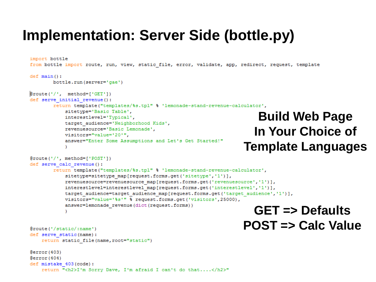#### **Implementation: Server Side (bottle.py)**

```
import bottle
from bottle import route, run, view, static file, error, validate, app, redirect, request, template
def main():bottle.run(server='gae')
\text{groute}(')'. \text{method='}('GET')')def serve initial revenue():
       return template("templates/%s.tpl" % 'lemonade-stand-revenue-calculator',
           sitetype='Basic Table',
                                                                           Build Web Page
           interestlevel='Typical',
           target audience='Neighborhood Kids',
           revenuesource='Basic Lemonade',
                                                                          In Your Choice of
           visitors="value='20'".
           answer="Enter Some Assumptions and Let's Get Started!"
                                                                      Template Languages\texttt{[Proute('/', method=['POST']]}def serve calc revenue():
       return template("templates/%s.tpl" % 'lemonade-stand-revenue-calculator',
           sitetype=sitetype map[request.forms.get('sitetype','1')],
           revenuesource=revenuesource map[request.forms.get('revenuesource','1')],
           interestlevel=interestlevel map[request.forms.get('interestlevel','1')],
           target audience=target audience map[request.forms.get('target audience','1')],
           visitors="value='%s'" % request.forms.qet('visitors',25000),
           answer=lemonade revenue(dict(request.forms))
                                                                         GET => Defaults
           x
                                                                      POST => Calc Value
@route('/static/:name')
def serve static(name):
   return static file (name, root="static")
Gerror (403)
Gerror (404)
def mistake 403 (code) :
    return "<h2>I'm Sorry Dave, I'm afraid I can't do that....</h2>"
```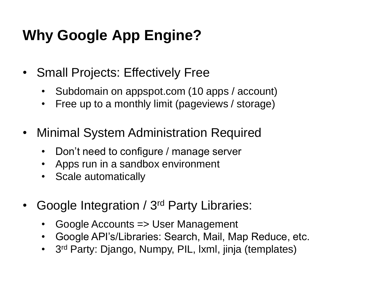## **Why Google App Engine?**

- Small Projects: Effectively Free
	- Subdomain on appspot.com (10 apps / account)
	- Free up to a monthly limit (pageviews / storage)
- Minimal System Administration Required
	- Don't need to configure / manage server
	- Apps run in a sandbox environment
	- Scale automatically
- Google Integration / 3<sup>rd</sup> Party Libraries:
	- Google Accounts => User Management
	- Google API's/Libraries: Search, Mail, Map Reduce, etc.
	- 3<sup>rd</sup> Party: Django, Numpy, PIL, Ixml, jinja (templates)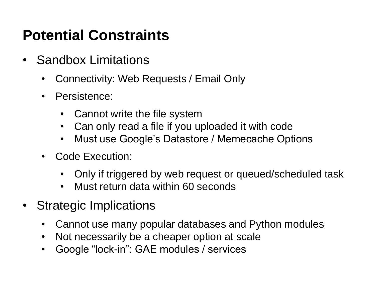## **Potential Constraints**

- Sandbox Limitations
	- Connectivity: Web Requests / Email Only
	- Persistence:
		- Cannot write the file system
		- Can only read a file if you uploaded it with code
		- Must use Google's Datastore / Memecache Options
	- Code Execution:
		- Only if triggered by web request or queued/scheduled task
		- Must return data within 60 seconds
- Strategic Implications
	- Cannot use many popular databases and Python modules
	- Not necessarily be a cheaper option at scale
	- Google "lock-in": GAE modules / services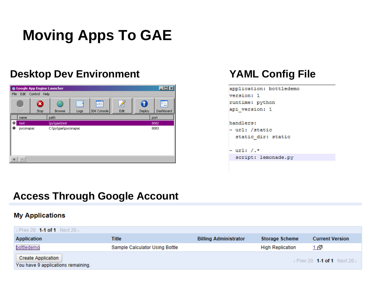## **Moving Apps To GAE**

#### **Desktop Dev Environment YAML Config File**



| application: bottledemo |
|-------------------------|
| version: 1              |
| runtime: python         |
| api version: 1          |
|                         |
| handlers:               |
| - url: /static          |
| static dir: static      |
|                         |
| - url: /.*              |
| script: lemonade.pv     |
|                         |

#### **Access Through Google Account**

#### **My Applications**

| $\overline{\phantom{a}}$ Prev 20 $\,$ 1-1 of 1 Next 20 $\overline{\phantom{a}}$                                                                 |                                |                              |                         |                        |  |  |  |
|-------------------------------------------------------------------------------------------------------------------------------------------------|--------------------------------|------------------------------|-------------------------|------------------------|--|--|--|
| Application                                                                                                                                     | Title                          | <b>Billing Administrator</b> | <b>Storage Scheme</b>   | <b>Current Version</b> |  |  |  |
| bottledemo                                                                                                                                      | Sample Calculator Using Bottle |                              | <b>High Replication</b> | 1 (ሞ                   |  |  |  |
| <b>Create Application</b><br>$\left\langle \text{Prev } 20 \right\rangle$ 1-1 of 1 Next 20 $\left\rangle$<br>You have 9 applications remaining. |                                |                              |                         |                        |  |  |  |